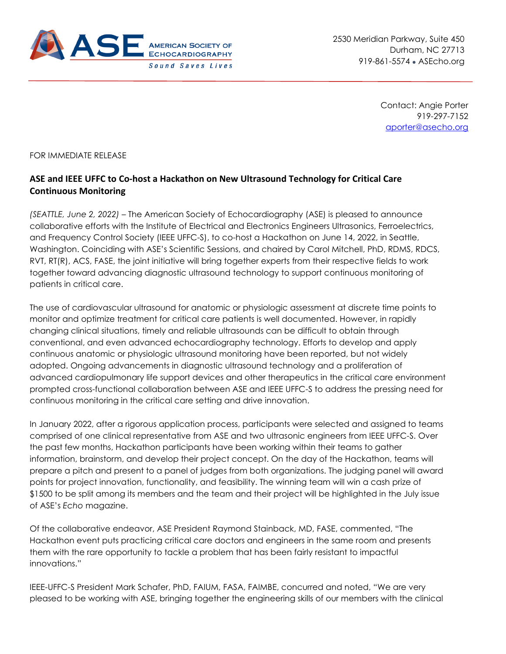

2530 Meridian Parkway, Suite 450 Durham, NC 27713 919-861-5574 • ASEcho.org

> Contact: Angie Porter 919-297-7152 [aporter@asecho.org](mailto:aporter@asecho.org)

FOR IMMEDIATE RELEASE

## **ASE and IEEE UFFC to Co-host a Hackathon on New Ultrasound Technology for Critical Care Continuous Monitoring**

*(SEATTLE, June 2, 2022) –* The American Society of Echocardiography (ASE) is pleased to announce collaborative efforts with the Institute of Electrical and Electronics Engineers Ultrasonics, Ferroelectrics, and Frequency Control Society (IEEE UFFC-S), to co-host a Hackathon on June 14, 2022, in Seattle, Washington. Coinciding with ASE's Scientific Sessions, and chaired by Carol Mitchell, PhD, RDMS, RDCS, RVT, RT(R), ACS, FASE, the joint initiative will bring together experts from their respective fields to work together toward advancing diagnostic ultrasound technology to support continuous monitoring of patients in critical care.

The use of cardiovascular ultrasound for anatomic or physiologic assessment at discrete time points to monitor and optimize treatment for critical care patients is well documented. However, in rapidly changing clinical situations, timely and reliable ultrasounds can be difficult to obtain through conventional, and even advanced echocardiography technology. Efforts to develop and apply continuous anatomic or physiologic ultrasound monitoring have been reported, but not widely adopted. Ongoing advancements in diagnostic ultrasound technology and a proliferation of advanced cardiopulmonary life support devices and other therapeutics in the critical care environment prompted cross-functional collaboration between ASE and IEEE UFFC-S to address the pressing need for continuous monitoring in the critical care setting and drive innovation.

In January 2022, after a rigorous application process, participants were selected and assigned to teams comprised of one clinical representative from ASE and two ultrasonic engineers from IEEE UFFC-S. Over the past few months, Hackathon participants have been working within their teams to gather information, brainstorm, and develop their project concept. On the day of the Hackathon, teams will prepare a pitch and present to a panel of judges from both organizations. The judging panel will award points for project innovation, functionality, and feasibility. The winning team will win a cash prize of \$1500 to be split among its members and the team and their project will be highlighted in the July issue of ASE's *Echo* magazine.

Of the collaborative endeavor, ASE President Raymond Stainback, MD, FASE, commented, "The Hackathon event puts practicing critical care doctors and engineers in the same room and presents them with the rare opportunity to tackle a problem that has been fairly resistant to impactful innovations."

IEEE-UFFC-S President Mark Schafer, PhD, FAIUM, FASA, FAIMBE, concurred and noted, "We are very pleased to be working with ASE, bringing together the engineering skills of our members with the clinical